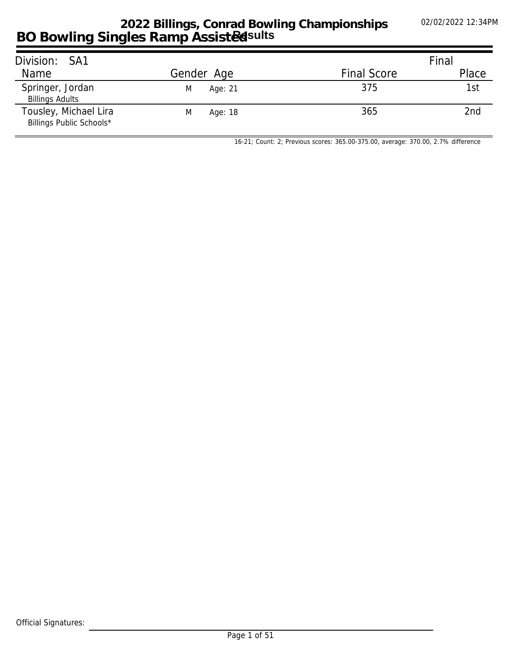## **BO Bowling Singles Ramp Assisted 2022 Billings, Conrad Bowling Championships Results**

| Division: SA1                                     |              |                    | Final |
|---------------------------------------------------|--------------|--------------------|-------|
| Name                                              | Gender Age   | <b>Final Score</b> | Place |
| Springer, Jordan<br><b>Billings Adults</b>        | Age: 21<br>M | 375                | 1st   |
| Tousley, Michael Lira<br>Billings Public Schools* | Age: 18<br>M | 365                | 2nd   |

*16-21; Count: 2; Previous scores: 365.00-375.00, average: 370.00, 2.7% difference*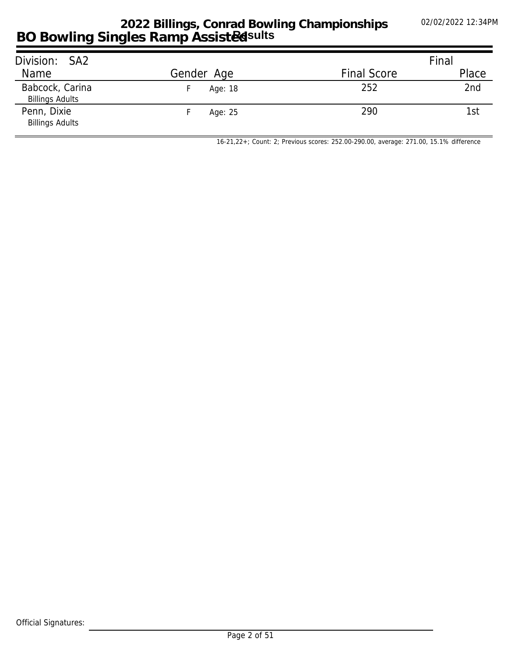## **BO Bowling Singles Ramp Assisted 2022 Billings, Conrad Bowling Championships Results**

| Division: SA2                             |            |                    | Final |
|-------------------------------------------|------------|--------------------|-------|
| Name                                      | Gender Age | <b>Final Score</b> | Place |
| Babcock, Carina<br><b>Billings Adults</b> | Age: 18    | 252                | 2nd   |
| Penn, Dixie<br><b>Billings Adults</b>     | Age: 25    | 290                | 1st   |

*16-21,22+; Count: 2; Previous scores: 252.00-290.00, average: 271.00, 15.1% difference*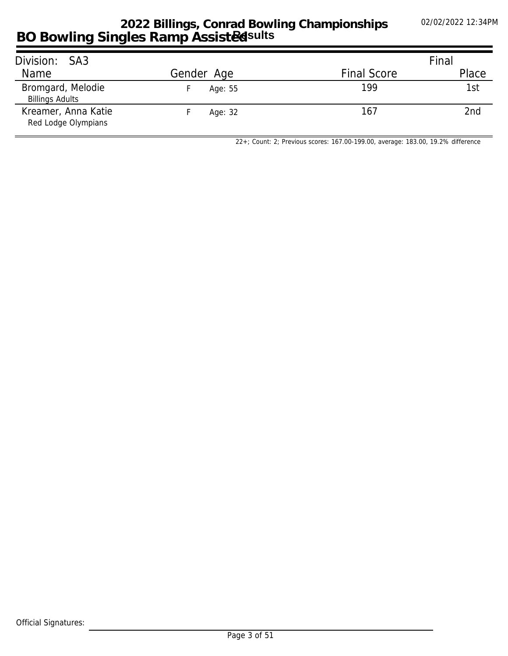## **BO Bowling Singles Ramp Assisted 2022 Billings, Conrad Bowling Championships Results**

| Division: SA3                               |            |                    | Final |
|---------------------------------------------|------------|--------------------|-------|
| Name                                        | Gender Age | <b>Final Score</b> | Place |
| Bromgard, Melodie<br><b>Billings Adults</b> | Age: 55    | 199                | 1st   |
| Kreamer, Anna Katie<br>Red Lodge Olympians  | Age: 32    | 167                | 2nd   |

*22+; Count: 2; Previous scores: 167.00-199.00, average: 183.00, 19.2% difference*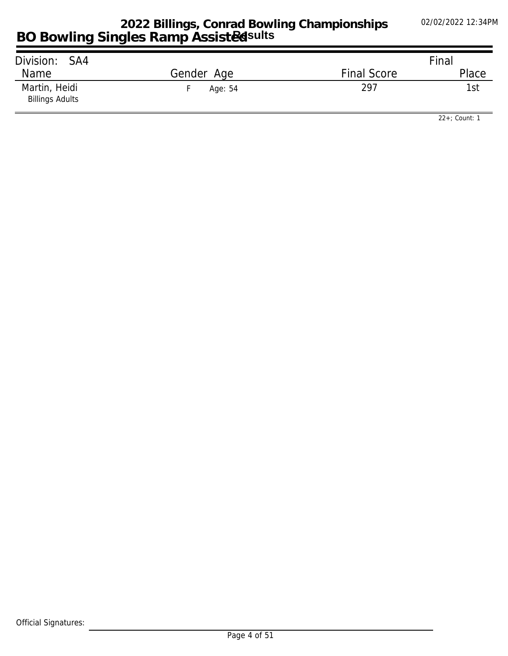| Division:<br>SA4                        |            |                    | Final |
|-----------------------------------------|------------|--------------------|-------|
| Name                                    | Gender Age | <b>Final Score</b> | Place |
| Martin, Heidi<br><b>Billings Adults</b> | Age: 54    | 297                | 1st   |

*22+; Count: 1*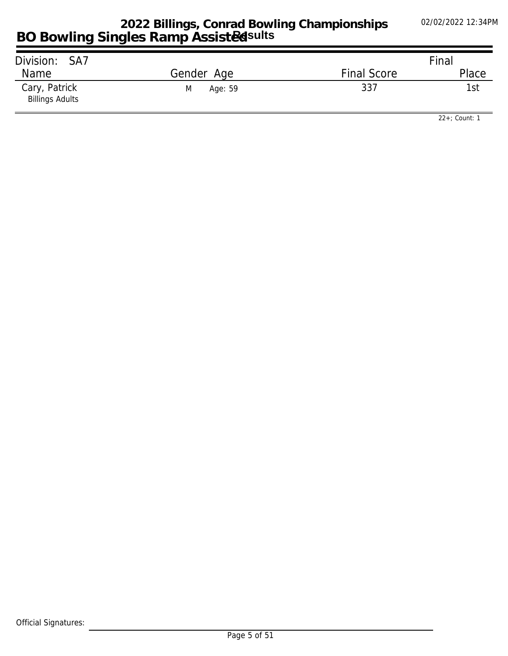| Division: SA7                           |              |                    | Final |
|-----------------------------------------|--------------|--------------------|-------|
| Name                                    | Gender Age   | <b>Final Score</b> | Place |
| Cary, Patrick<br><b>Billings Adults</b> | Age: 59<br>M | 337                | 1st   |

*22+; Count: 1*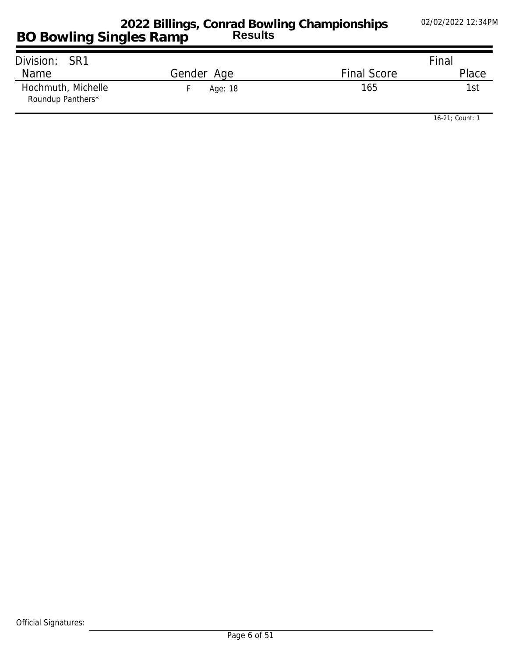| Division: SR1                           |            |                    | Final |
|-----------------------------------------|------------|--------------------|-------|
| Name                                    | Gender Age | <b>Final Score</b> | Place |
| Hochmuth, Michelle<br>Roundup Panthers* | Age: 18    | 165                | 1st   |

*16-21; Count: 1*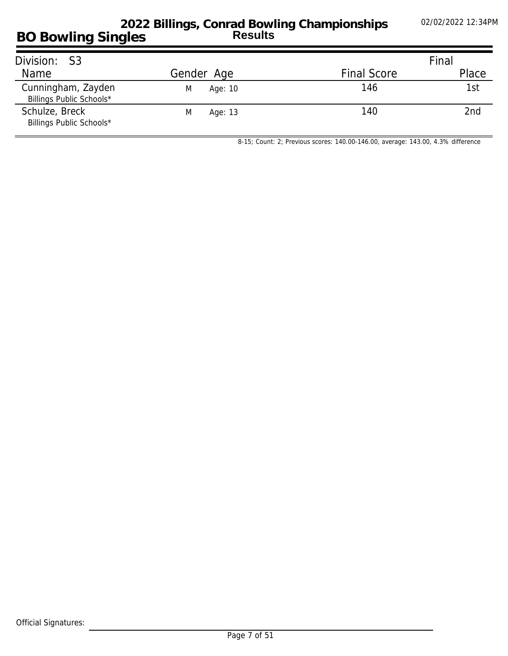### **BO Bowling Singles 2022 Billings, Conrad Bowling Championships Results**

| Division: S3                                   |              |                    | Final           |
|------------------------------------------------|--------------|--------------------|-----------------|
| Name                                           | Gender Age   | <b>Final Score</b> | Place           |
| Cunningham, Zayden<br>Billings Public Schools* | M<br>Age: 10 | 146                | 1st             |
| Schulze, Breck<br>Billings Public Schools*     | M<br>Age: 13 | 140                | 2 <sub>nd</sub> |

*8-15; Count: 2; Previous scores: 140.00-146.00, average: 143.00, 4.3% difference*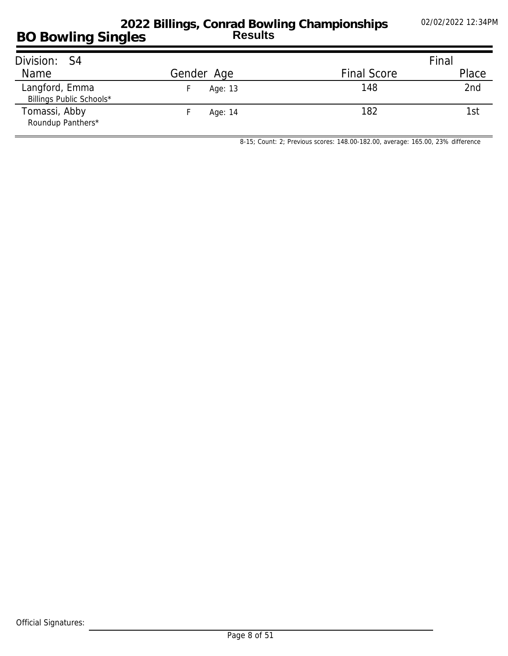#### **BO Bowling Singles 2022 Billings, Conrad Bowling Championships Results**

| Division: S4                               |            |                    | Final |
|--------------------------------------------|------------|--------------------|-------|
| Name                                       | Gender Age | <b>Final Score</b> | Place |
| Langford, Emma<br>Billings Public Schools* | Age: 13    | 148                | 2nd   |
| Tomassi, Abby<br>Roundup Panthers*         | Age: 14    | 182                | 1st   |

*8-15; Count: 2; Previous scores: 148.00-182.00, average: 165.00, 23% difference*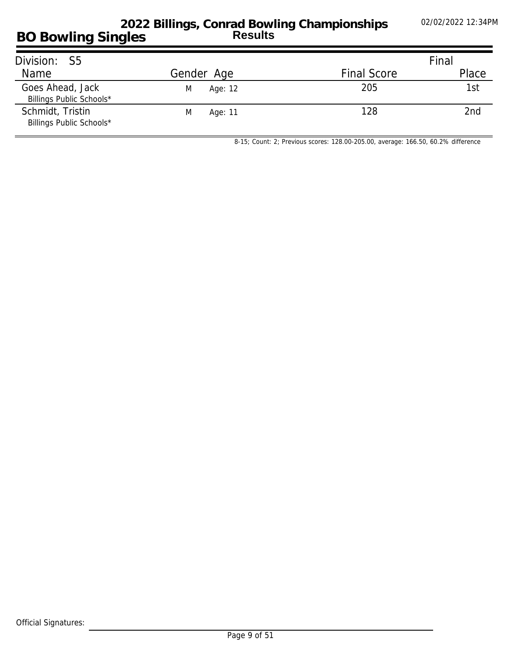| Division:<br>- S5                            |              |                    | Final |
|----------------------------------------------|--------------|--------------------|-------|
| Name                                         | Gender Age   | <b>Final Score</b> | Place |
| Goes Ahead, Jack<br>Billings Public Schools* | M<br>Age: 12 | 205                | 1st   |
| Schmidt, Tristin<br>Billings Public Schools* | M<br>Age: 11 | 128                | 2nd   |

*8-15; Count: 2; Previous scores: 128.00-205.00, average: 166.50, 60.2% difference*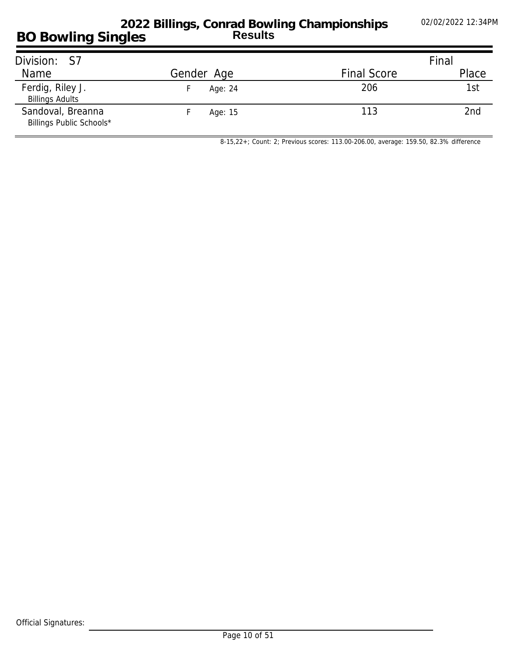## **BO Bowling Singles 2022 Billings, Conrad Bowling Championships Results**

| Division: S7                                  |            |                    | Final           |
|-----------------------------------------------|------------|--------------------|-----------------|
| Name                                          | Gender Age | <b>Final Score</b> | Place           |
| Ferdig, Riley J.<br><b>Billings Adults</b>    | Age: 24    | 206                | 1st             |
| Sandoval, Breanna<br>Billings Public Schools* | Age: 15    | 113                | 2 <sub>nd</sub> |

*8-15,22+; Count: 2; Previous scores: 113.00-206.00, average: 159.50, 82.3% difference*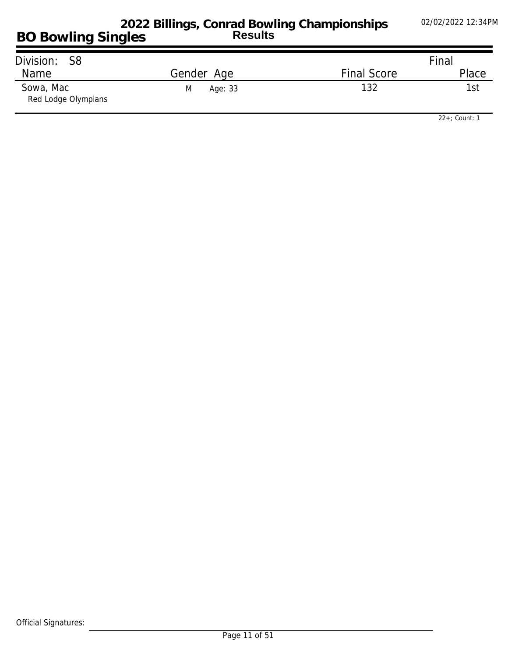| Division: S8                     |              |                    | Final |
|----------------------------------|--------------|--------------------|-------|
| Name                             | Gender Age   | <b>Final Score</b> | Place |
| Sowa, Mac<br>Red Lodge Olympians | Age: 33<br>M | 132                | 1st   |

*22+; Count: 1*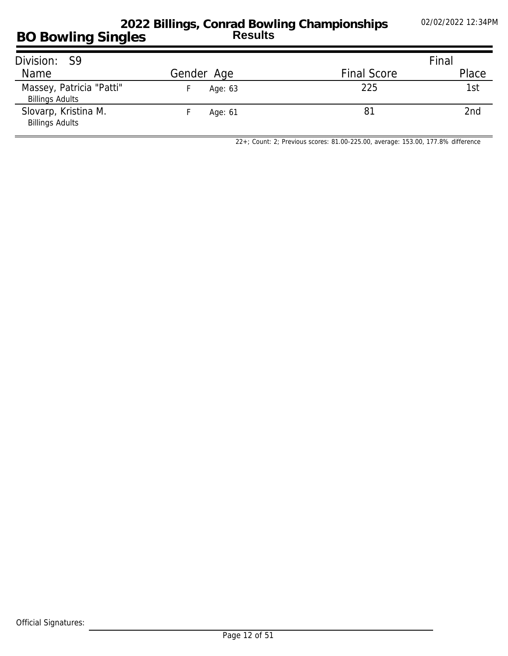#### **BO Bowling Singles 2022 Billings, Conrad Bowling Championships Results**

| Division: S9                                       |            |                    | Final           |
|----------------------------------------------------|------------|--------------------|-----------------|
| Name                                               | Gender Age | <b>Final Score</b> | Place           |
| Massey, Patricia "Patti"<br><b>Billings Adults</b> | Age: 63    | 225                | 1st             |
| Slovarp, Kristina M.<br><b>Billings Adults</b>     | Age: 61    | 81                 | 2 <sub>nd</sub> |

*22+; Count: 2; Previous scores: 81.00-225.00, average: 153.00, 177.8% difference*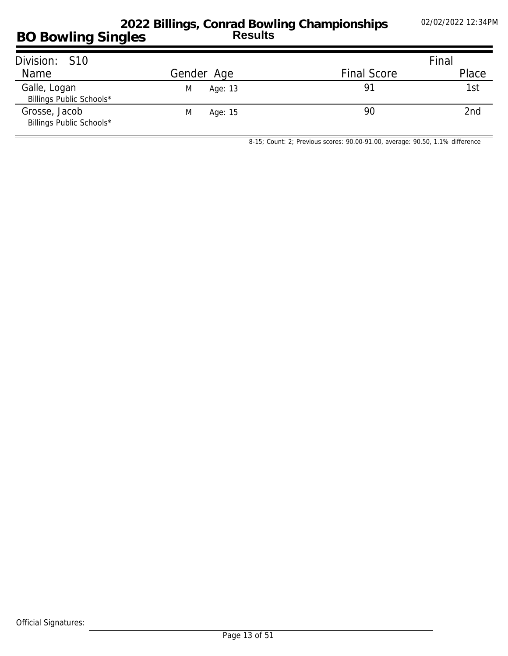#### **BO Bowling Singles 2022 Billings, Conrad Bowling Championships Results**

| Division: S10                             |              |                    | Final           |
|-------------------------------------------|--------------|--------------------|-----------------|
| Name                                      | Gender Age   | <b>Final Score</b> | Place           |
| Galle, Logan<br>Billings Public Schools*  | M<br>Age: 13 | 91                 | 1st             |
| Grosse, Jacob<br>Billings Public Schools* | Age: 15<br>M | 90                 | 2 <sub>nd</sub> |

*8-15; Count: 2; Previous scores: 90.00-91.00, average: 90.50, 1.1% difference*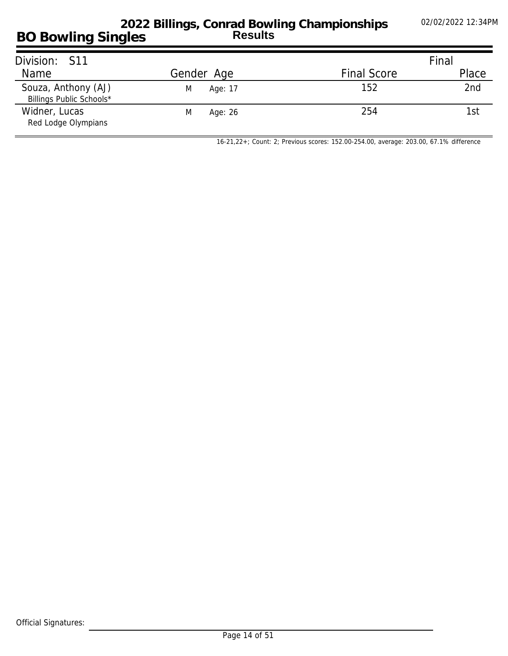## **BO Bowling Singles 2022 Billings, Conrad Bowling Championships Results**

| Division: S11                                   |              |                    | Final |
|-------------------------------------------------|--------------|--------------------|-------|
| <b>Name</b>                                     | Gender Age   | <b>Final Score</b> | Place |
| Souza, Anthony (AJ)<br>Billings Public Schools* | Age: 17<br>M | 152                | 2nd   |
| Widner, Lucas<br>Red Lodge Olympians            | M<br>Age: 26 | 254                | 1st   |

*16-21,22+; Count: 2; Previous scores: 152.00-254.00, average: 203.00, 67.1% difference*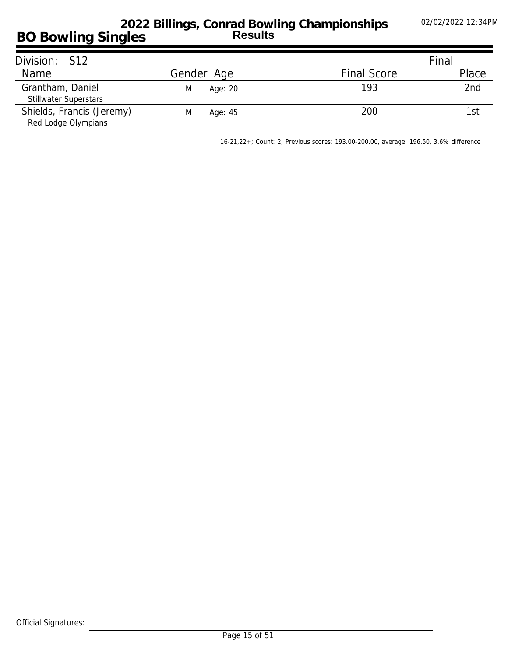### **BO Bowling Singles 2022 Billings, Conrad Bowling Championships Results**

| Division: S12                                    |              |                    | Final |
|--------------------------------------------------|--------------|--------------------|-------|
| <b>Name</b>                                      | Gender Age   | <b>Final Score</b> | Place |
| Grantham, Daniel<br><b>Stillwater Superstars</b> | Age: 20<br>M | 193                | 2nd   |
| Shields, Francis (Jeremy)<br>Red Lodge Olympians | Age: 45<br>M | 200                | 1st   |

*16-21,22+; Count: 2; Previous scores: 193.00-200.00, average: 196.50, 3.6% difference*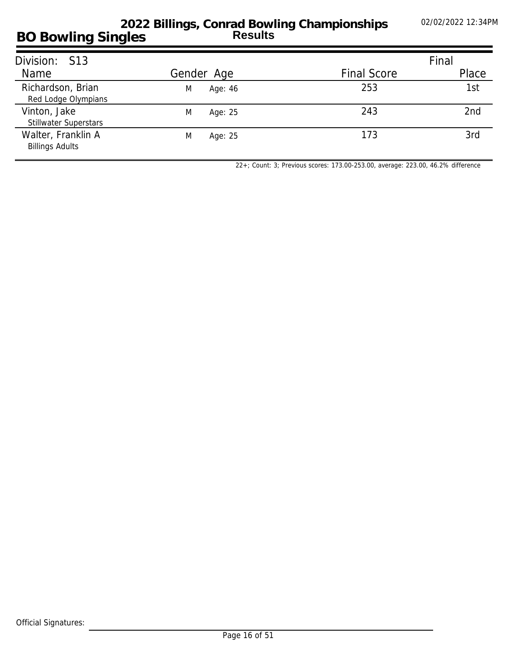| Division: S13                                |              |                    | Final |
|----------------------------------------------|--------------|--------------------|-------|
| Name                                         | Gender Age   | <b>Final Score</b> | Place |
| Richardson, Brian<br>Red Lodge Olympians     | Age: 46<br>M | 253                | 1st   |
| Vinton, Jake<br><b>Stillwater Superstars</b> | M<br>Age: 25 | 243                | 2nd   |
| Walter, Franklin A<br><b>Billings Adults</b> | M<br>Age: 25 | 173                | 3rd   |

*22+; Count: 3; Previous scores: 173.00-253.00, average: 223.00, 46.2% difference*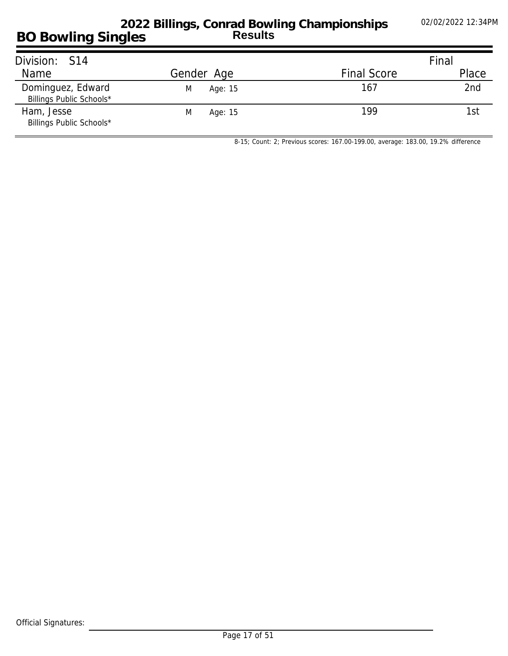## **BO Bowling Singles 2022 Billings, Conrad Bowling Championships Results**

| Division: S14                                 |              |                    | Final |
|-----------------------------------------------|--------------|--------------------|-------|
| Name                                          | Gender Age   | <b>Final Score</b> | Place |
| Dominguez, Edward<br>Billings Public Schools* | Age: 15<br>M | 167                | 2nd   |
| Ham, Jesse<br>Billings Public Schools*        | Age: 15<br>M | 199                | 1st   |

*8-15; Count: 2; Previous scores: 167.00-199.00, average: 183.00, 19.2% difference*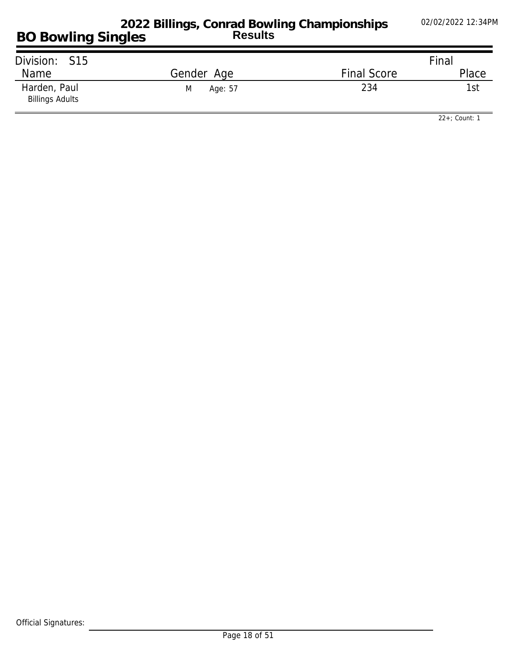| Division: S15                          |              |                    | Final |
|----------------------------------------|--------------|--------------------|-------|
| Name                                   | Gender Age   | <b>Final Score</b> | Place |
| Harden, Paul<br><b>Billings Adults</b> | M<br>Age: 57 | 234                | 1st   |

*22+; Count: 1*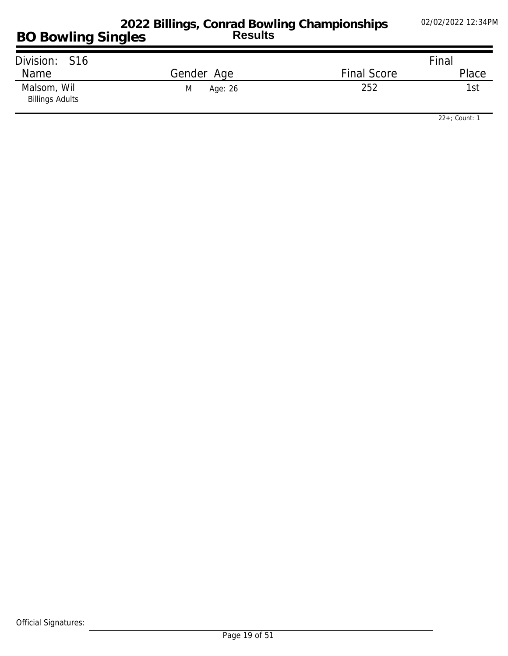| Division: S16                         |              |                    | Final |
|---------------------------------------|--------------|--------------------|-------|
| Name                                  | Gender Age   | <b>Final Score</b> | Place |
| Malsom, Wil<br><b>Billings Adults</b> | M<br>Age: 26 | 252                | 1st   |

*22+; Count: 1*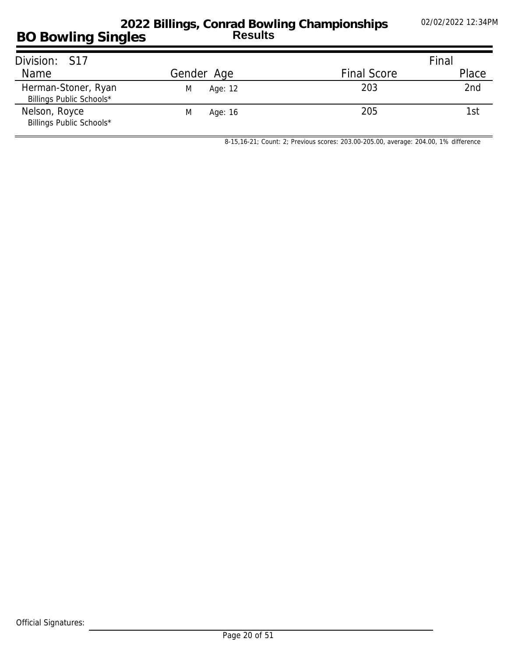## **BO Bowling Singles 2022 Billings, Conrad Bowling Championships Results**

| Division: S17                                   |              |                    | Final |
|-------------------------------------------------|--------------|--------------------|-------|
| Name                                            | Gender Age   | <b>Final Score</b> | Place |
| Herman-Stoner, Ryan<br>Billings Public Schools* | M<br>Age: 12 | 203                | 2nd   |
| Nelson, Royce<br>Billings Public Schools*       | M<br>Age: 16 | 205                | 1st   |

*8-15,16-21; Count: 2; Previous scores: 203.00-205.00, average: 204.00, 1% difference*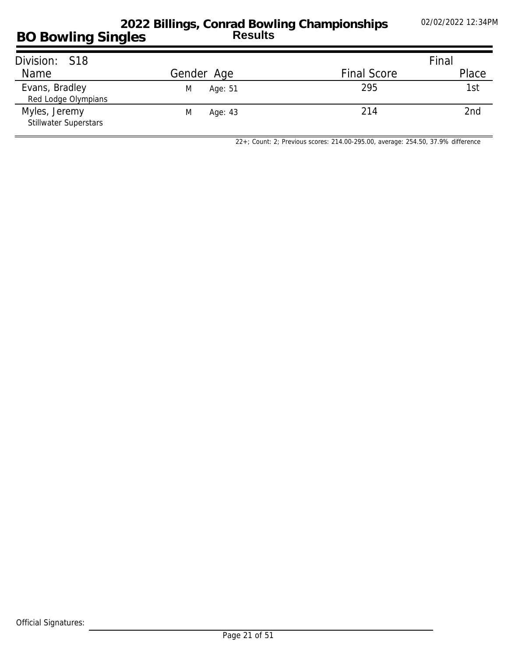### **BO Bowling Singles 2022 Billings, Conrad Bowling Championships Results**

| Division: S18                                 |              |                    | Final           |
|-----------------------------------------------|--------------|--------------------|-----------------|
| Name                                          | Gender Age   | <b>Final Score</b> | Place           |
| Evans, Bradley<br>Red Lodge Olympians         | Age: 51<br>M | 295                | 1st             |
| Myles, Jeremy<br><b>Stillwater Superstars</b> | M<br>Age: 43 | 214                | 2 <sub>nd</sub> |

*22+; Count: 2; Previous scores: 214.00-295.00, average: 254.50, 37.9% difference*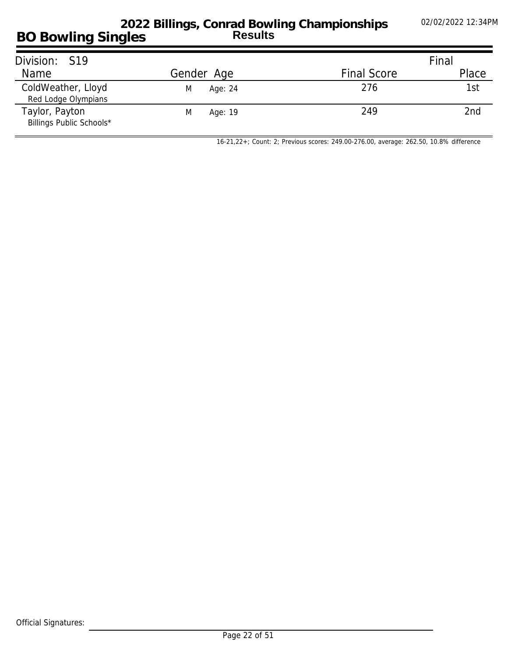### **BO Bowling Singles 2022 Billings, Conrad Bowling Championships Results**

| Division: S19                              |              |                    | Final |
|--------------------------------------------|--------------|--------------------|-------|
| Name                                       | Gender Age   | <b>Final Score</b> | Place |
| ColdWeather, Lloyd<br>Red Lodge Olympians  | M<br>Age: 24 | 276                | 1st   |
| Taylor, Payton<br>Billings Public Schools* | M<br>Age: 19 | 249                | 2nd   |

*16-21,22+; Count: 2; Previous scores: 249.00-276.00, average: 262.50, 10.8% difference*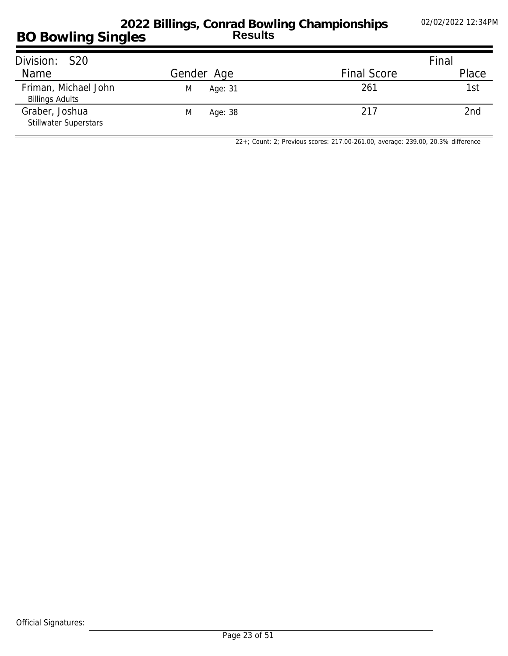### **BO Bowling Singles 2022 Billings, Conrad Bowling Championships Results**

| Division: S20                                  |              |                    | Final           |
|------------------------------------------------|--------------|--------------------|-----------------|
| Name                                           | Gender Age   | <b>Final Score</b> | Place           |
| Friman, Michael John<br><b>Billings Adults</b> | Age: 31<br>M | 261                | 1st             |
| Graber, Joshua<br><b>Stillwater Superstars</b> | Age: 38<br>M | 217                | 2 <sub>nd</sub> |

*22+; Count: 2; Previous scores: 217.00-261.00, average: 239.00, 20.3% difference*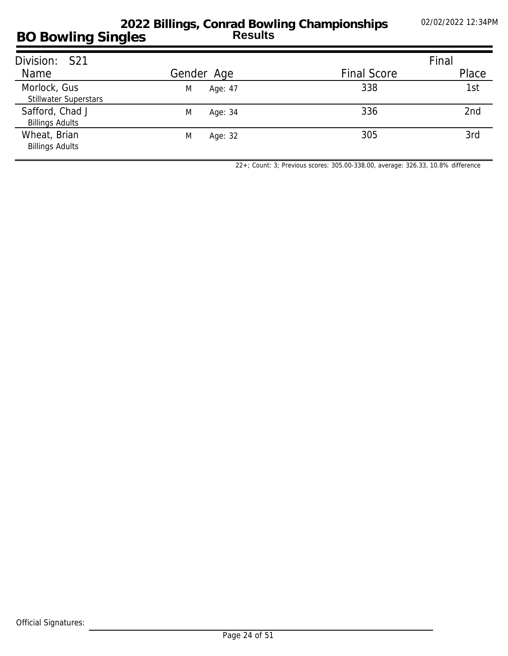| Division: S21                                |              |                    | Final           |
|----------------------------------------------|--------------|--------------------|-----------------|
| Name                                         | Gender Age   | <b>Final Score</b> | Place           |
| Morlock, Gus<br><b>Stillwater Superstars</b> | M<br>Age: 47 | 338                | 1st             |
| Safford, Chad J<br><b>Billings Adults</b>    | M<br>Age: 34 | 336                | 2 <sub>nd</sub> |
| Wheat, Brian<br><b>Billings Adults</b>       | M<br>Age: 32 | 305                | 3rd             |

*22+; Count: 3; Previous scores: 305.00-338.00, average: 326.33, 10.8% difference*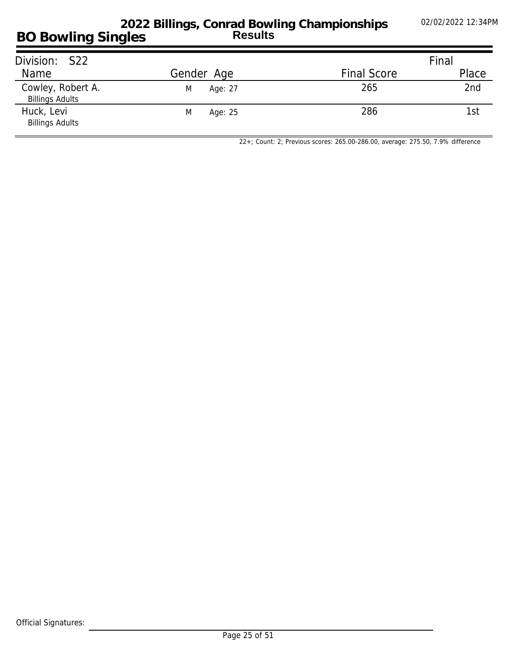### **BO Bowling Singles 2022 Billings, Conrad Bowling Championships Results**

| Division: S22                               |              |                    | Final |
|---------------------------------------------|--------------|--------------------|-------|
| Name                                        | Gender Age   | <b>Final Score</b> | Place |
| Cowley, Robert A.<br><b>Billings Adults</b> | Age: 27<br>M | 265                | 2nd   |
| Huck, Levi<br><b>Billings Adults</b>        | M<br>Age: 25 | 286                | 1st   |

*22+; Count: 2; Previous scores: 265.00-286.00, average: 275.50, 7.9% difference*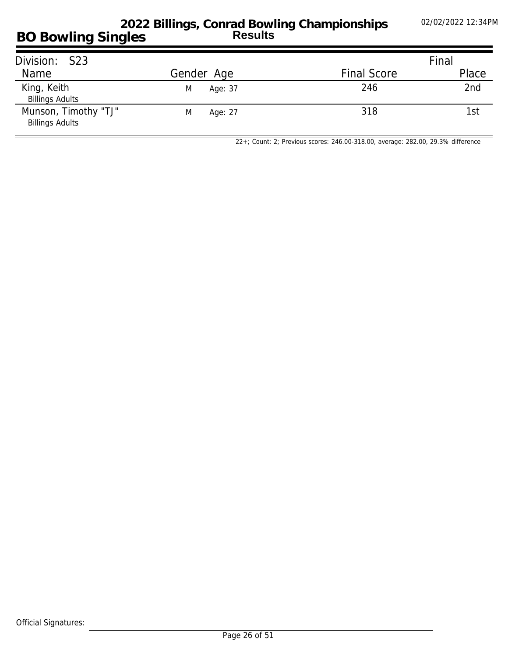#### **BO Bowling Singles 2022 Billings, Conrad Bowling Championships Results**

| Division: S23                                  |              |                    | Final |
|------------------------------------------------|--------------|--------------------|-------|
| Name                                           | Gender Age   | <b>Final Score</b> | Place |
| King, Keith<br><b>Billings Adults</b>          | Age: 37<br>M | 246                | 2nd   |
| Munson, Timothy "TJ"<br><b>Billings Adults</b> | M<br>Age: 27 | 318                | 1st   |

*22+; Count: 2; Previous scores: 246.00-318.00, average: 282.00, 29.3% difference*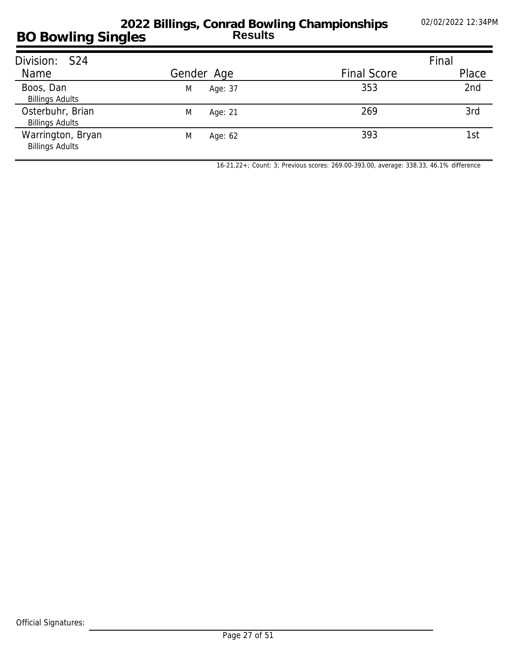| Division: S24                               |              |                    | Final |
|---------------------------------------------|--------------|--------------------|-------|
| Name                                        | Gender Age   | <b>Final Score</b> | Place |
| Boos, Dan<br><b>Billings Adults</b>         | Age: 37<br>M | 353                | 2nd   |
| Osterbuhr, Brian<br><b>Billings Adults</b>  | M<br>Age: 21 | 269                | 3rd   |
| Warrington, Bryan<br><b>Billings Adults</b> | M<br>Age: 62 | 393                | 1st   |

*16-21,22+; Count: 3; Previous scores: 269.00-393.00, average: 338.33, 46.1% difference*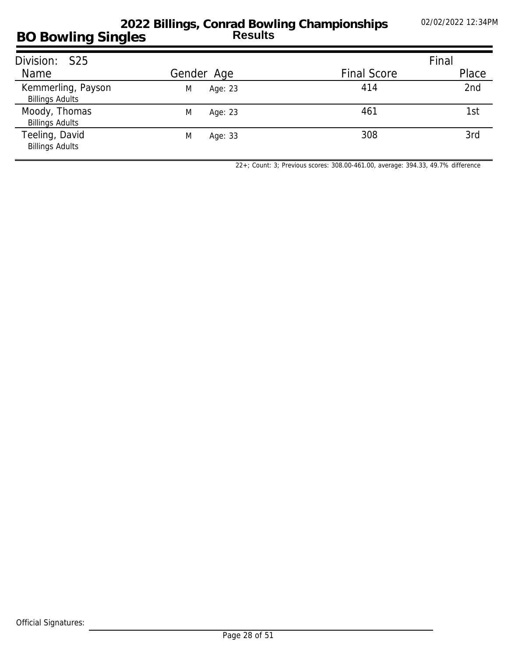| Division: S25                                |              |                    | Final |
|----------------------------------------------|--------------|--------------------|-------|
| Name                                         | Gender Age   | <b>Final Score</b> | Place |
| Kemmerling, Payson<br><b>Billings Adults</b> | Age: 23<br>M | 414                | 2nd   |
| Moody, Thomas<br><b>Billings Adults</b>      | M<br>Age: 23 | 461                | 1st   |
| Teeling, David<br><b>Billings Adults</b>     | M<br>Age: 33 | 308                | 3rd   |

*22+; Count: 3; Previous scores: 308.00-461.00, average: 394.33, 49.7% difference*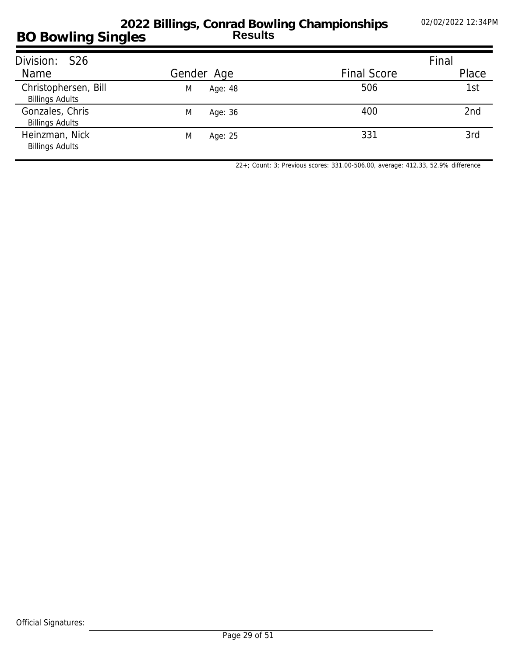| Division: S26                                  |              |                    | Final           |
|------------------------------------------------|--------------|--------------------|-----------------|
| Name                                           | Gender Age   | <b>Final Score</b> | Place           |
| Christophersen, Bill<br><b>Billings Adults</b> | M<br>Age: 48 | 506                | 1st             |
| Gonzales, Chris<br><b>Billings Adults</b>      | M<br>Age: 36 | 400                | 2 <sub>nd</sub> |
| Heinzman, Nick<br><b>Billings Adults</b>       | M<br>Age: 25 | 331                | 3rd             |

*22+; Count: 3; Previous scores: 331.00-506.00, average: 412.33, 52.9% difference*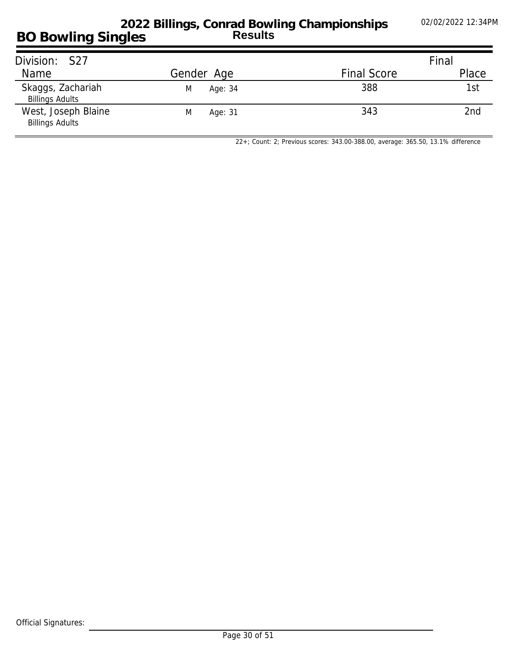### **BO Bowling Singles 2022 Billings, Conrad Bowling Championships Results**

| Division: S27                                 |              |                    | Final |
|-----------------------------------------------|--------------|--------------------|-------|
| Name                                          | Gender Age   | <b>Final Score</b> | Place |
| Skaggs, Zachariah<br><b>Billings Adults</b>   | M<br>Age: 34 | 388                | 1st   |
| West, Joseph Blaine<br><b>Billings Adults</b> | M<br>Age: 31 | 343                | 2nd   |

*22+; Count: 2; Previous scores: 343.00-388.00, average: 365.50, 13.1% difference*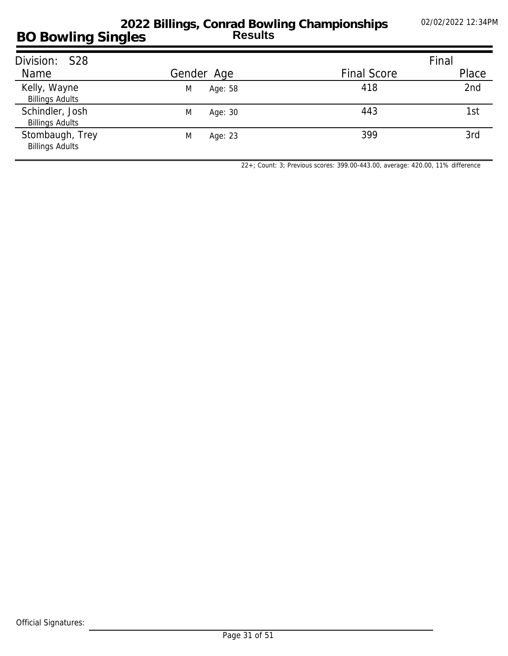| Division: S28                             |              |                    | Final |
|-------------------------------------------|--------------|--------------------|-------|
| Name                                      | Gender Age   | <b>Final Score</b> | Place |
| Kelly, Wayne<br><b>Billings Adults</b>    | Age: 58<br>M | 418                | 2nd   |
| Schindler, Josh<br><b>Billings Adults</b> | M<br>Age: 30 | 443                | 1st   |
| Stombaugh, Trey<br><b>Billings Adults</b> | M<br>Age: 23 | 399                | 3rd   |

*22+; Count: 3; Previous scores: 399.00-443.00, average: 420.00, 11% difference*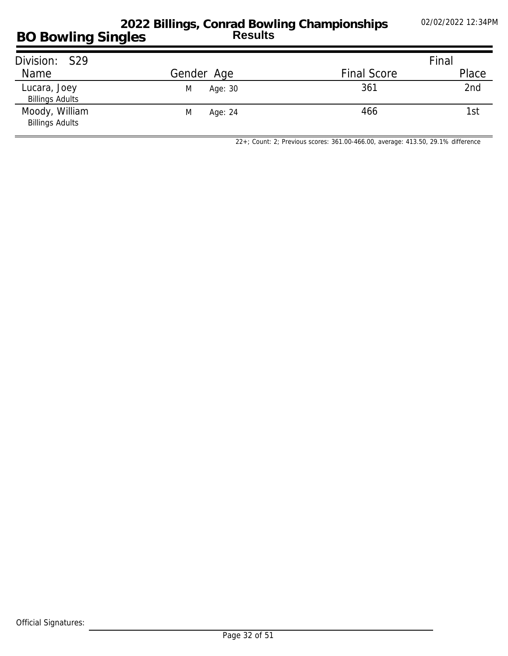#### **BO Bowling Singles 2022 Billings, Conrad Bowling Championships Results**

| Division: S29                            |              |                    | Final |
|------------------------------------------|--------------|--------------------|-------|
| Name                                     | Gender Age   | <b>Final Score</b> | Place |
| Lucara, Joey<br><b>Billings Adults</b>   | Age: 30<br>M | 361                | 2nd   |
| Moody, William<br><b>Billings Adults</b> | Age: 24<br>M | 466                | 1st   |

*22+; Count: 2; Previous scores: 361.00-466.00, average: 413.50, 29.1% difference*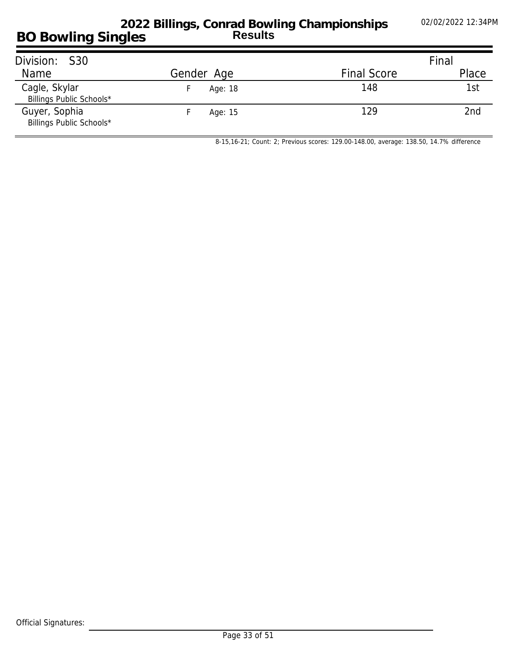#### **BO Bowling Singles 2022 Billings, Conrad Bowling Championships Results**

| Division: S30                             |            |                    | Final           |
|-------------------------------------------|------------|--------------------|-----------------|
| Name                                      | Gender Age | <b>Final Score</b> | Place           |
| Cagle, Skylar<br>Billings Public Schools* | Age: 18    | 148                | 1st             |
| Guyer, Sophia<br>Billings Public Schools* | Age: 15    | 129                | 2 <sub>nd</sub> |

*8-15,16-21; Count: 2; Previous scores: 129.00-148.00, average: 138.50, 14.7% difference*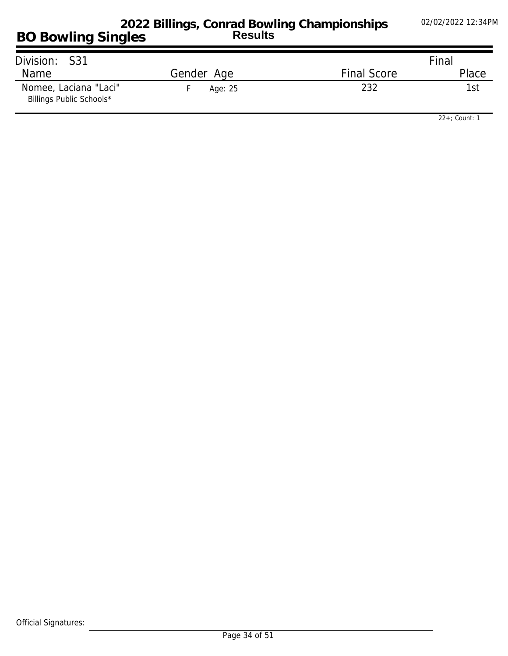| Division: S31                                     |            |                    | Final |
|---------------------------------------------------|------------|--------------------|-------|
| Name                                              | Gender Age | <b>Final Score</b> | Place |
| Nomee, Laciana "Laci"<br>Billings Public Schools* | Age: 25    | 232                | 1st   |

*22+; Count: 1*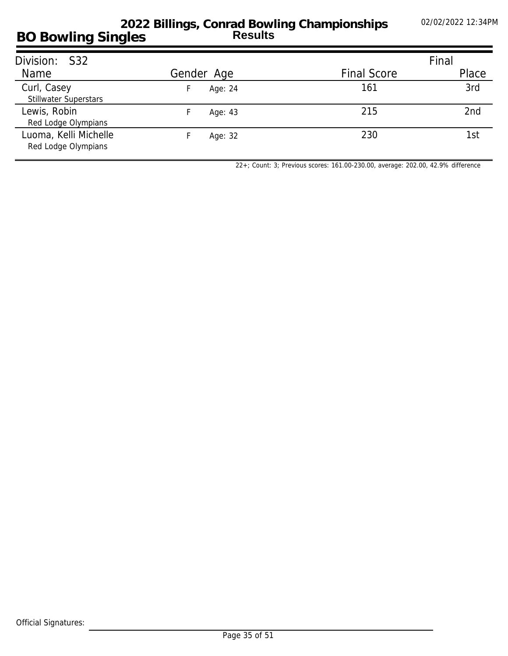| Division: S32                                |               |                    | Final |
|----------------------------------------------|---------------|--------------------|-------|
| <b>Name</b>                                  | Gender Age    | <b>Final Score</b> | Place |
| Curl, Casey<br><b>Stillwater Superstars</b>  | Age: 24<br>ь. | 161                | 3rd   |
| Lewis, Robin<br>Red Lodge Olympians          | Age: 43       | 215                | 2nd   |
| Luoma, Kelli Michelle<br>Red Lodge Olympians | Age: 32       | 230                | 1st   |

*22+; Count: 3; Previous scores: 161.00-230.00, average: 202.00, 42.9% difference*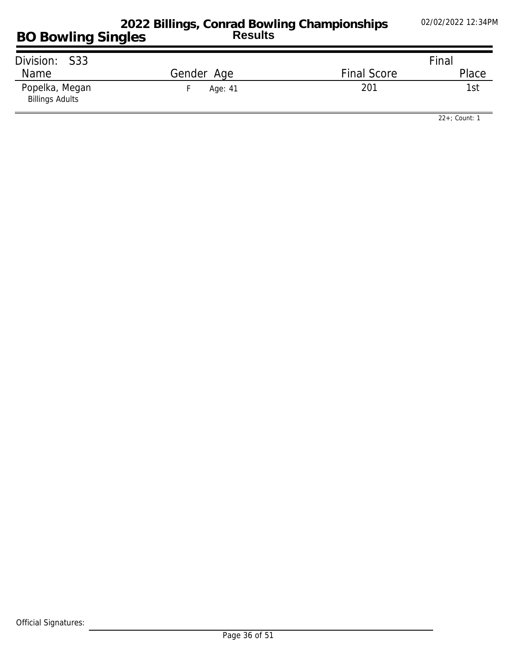| Division: S33                            |            |                    | Final |
|------------------------------------------|------------|--------------------|-------|
| <b>Name</b>                              | Gender Age | <b>Final Score</b> | Place |
| Popelka, Megan<br><b>Billings Adults</b> | Age: 41    | 201                | 1st   |

*22+; Count: 1*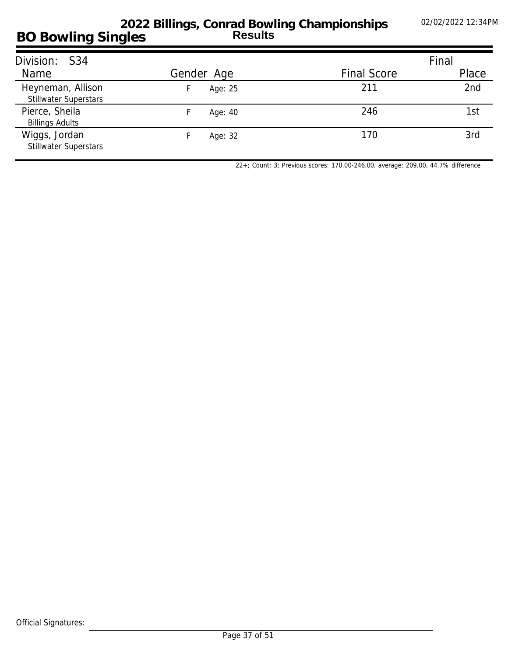| Division: S34                                     |            |                    | Final |
|---------------------------------------------------|------------|--------------------|-------|
| <b>Name</b>                                       | Gender Age | <b>Final Score</b> | Place |
| Heyneman, Allison<br><b>Stillwater Superstars</b> | Age: 25    | 211                | 2nd   |
| Pierce, Sheila<br><b>Billings Adults</b>          | Age: 40    | 246                | 1st   |
| Wiggs, Jordan<br><b>Stillwater Superstars</b>     | Age: 32    | 170                | 3rd   |

*22+; Count: 3; Previous scores: 170.00-246.00, average: 209.00, 44.7% difference*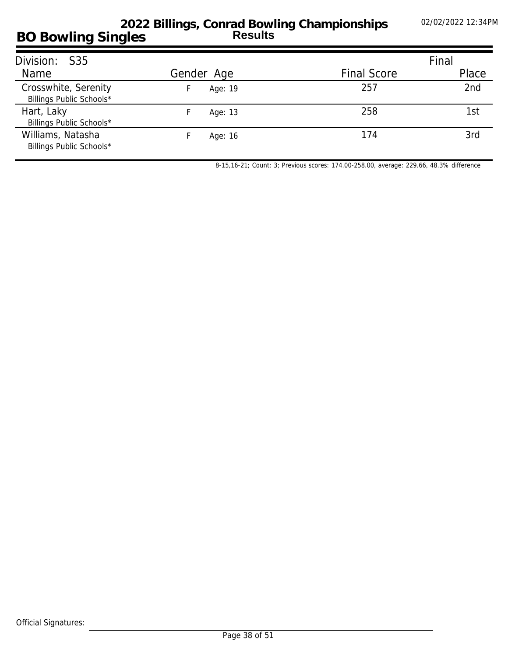| Division: S35                                    |            |                    | Final |
|--------------------------------------------------|------------|--------------------|-------|
| <b>Name</b>                                      | Gender Age | <b>Final Score</b> | Place |
| Crosswhite, Serenity<br>Billings Public Schools* | Age: 19    | 257                | 2nd   |
| Hart, Laky<br>Billings Public Schools*           | Age: 13    | 258                | 1st   |
| Williams, Natasha<br>Billings Public Schools*    | Age: 16    | 174                | 3rd   |

*8-15,16-21; Count: 3; Previous scores: 174.00-258.00, average: 229.66, 48.3% difference*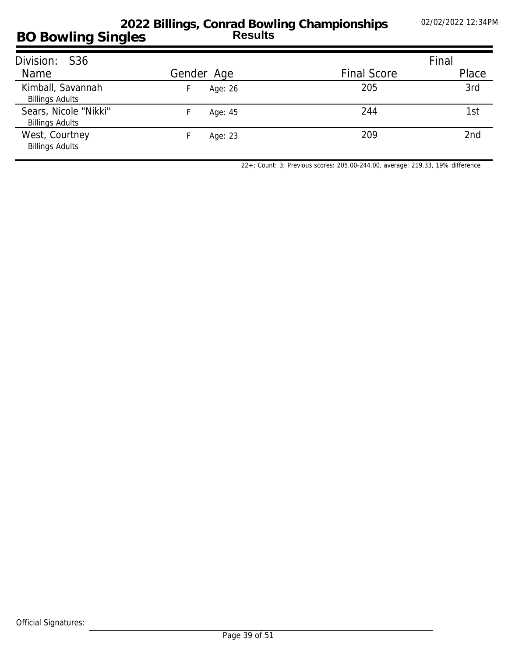| Division: S36                                   |            |                    | Final           |
|-------------------------------------------------|------------|--------------------|-----------------|
| Name                                            | Gender Age | <b>Final Score</b> | Place           |
| Kimball, Savannah<br><b>Billings Adults</b>     | Age: 26    | 205                | 3rd             |
| Sears, Nicole "Nikki"<br><b>Billings Adults</b> | Age: 45    | 244                | 1st             |
| West, Courtney<br><b>Billings Adults</b>        | Age: 23    | 209                | 2 <sub>nd</sub> |

*22+; Count: 3; Previous scores: 205.00-244.00, average: 219.33, 19% difference*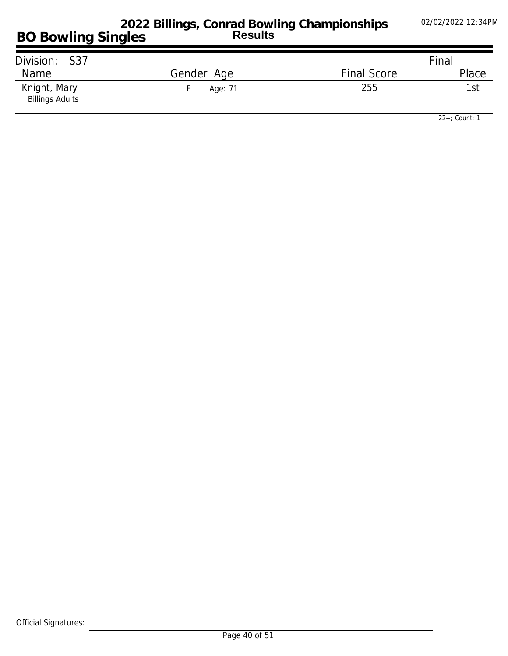| Division: S37                          |            |                    | Final |
|----------------------------------------|------------|--------------------|-------|
| Name                                   | Gender Age | <b>Final Score</b> | Place |
| Knight, Mary<br><b>Billings Adults</b> | Age: 71    | 255                | 1st   |

*22+; Count: 1*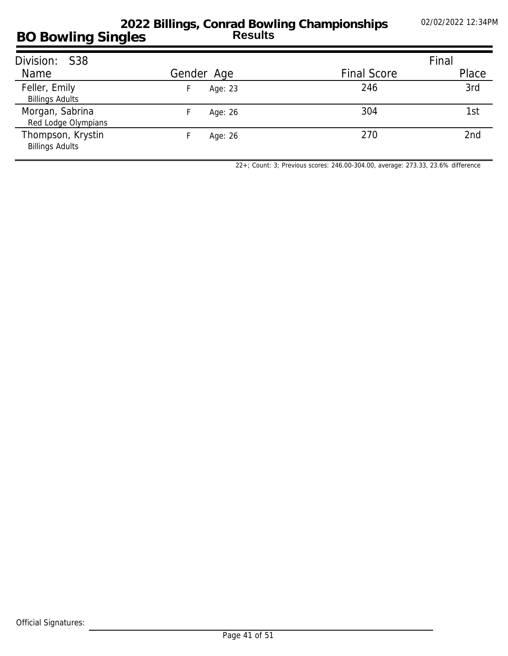| Division: S38                               |            |                    | Final |
|---------------------------------------------|------------|--------------------|-------|
| Name                                        | Gender Age | <b>Final Score</b> | Place |
| Feller, Emily<br><b>Billings Adults</b>     | Age: 23    | 246                | 3rd   |
| Morgan, Sabrina<br>Red Lodge Olympians      | Age: 26    | 304                | 1st   |
| Thompson, Krystin<br><b>Billings Adults</b> | Age: 26    | 270                | 2nd   |

*22+; Count: 3; Previous scores: 246.00-304.00, average: 273.33, 23.6% difference*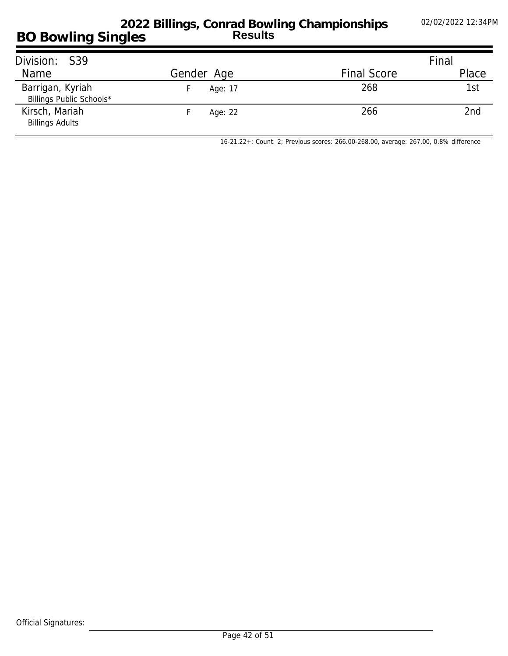#### **BO Bowling Singles 2022 Billings, Conrad Bowling Championships Results**

| Division: S39                                |            |                    | Final           |
|----------------------------------------------|------------|--------------------|-----------------|
| Name                                         | Gender Age | <b>Final Score</b> | Place           |
| Barrigan, Kyriah<br>Billings Public Schools* | Age: 17    | 268                | 1st             |
| Kirsch, Mariah<br><b>Billings Adults</b>     | Age: 22    | 266                | 2 <sub>nd</sub> |

*16-21,22+; Count: 2; Previous scores: 266.00-268.00, average: 267.00, 0.8% difference*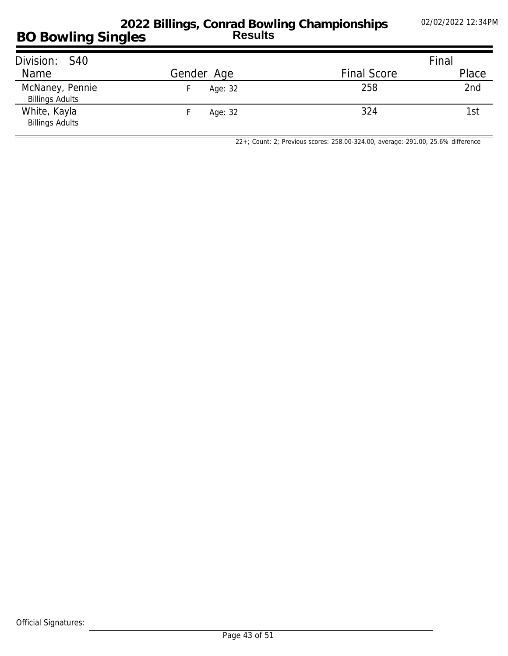### **BO Bowling Singles 2022 Billings, Conrad Bowling Championships Results**

| Division: S40                             |            |                    | Final |
|-------------------------------------------|------------|--------------------|-------|
| Name                                      | Gender Age | <b>Final Score</b> | Place |
| McNaney, Pennie<br><b>Billings Adults</b> | Age: 32    | 258                | 2nd   |
| White, Kayla<br><b>Billings Adults</b>    | Age: 32    | 324                | 1st   |

*22+; Count: 2; Previous scores: 258.00-324.00, average: 291.00, 25.6% difference*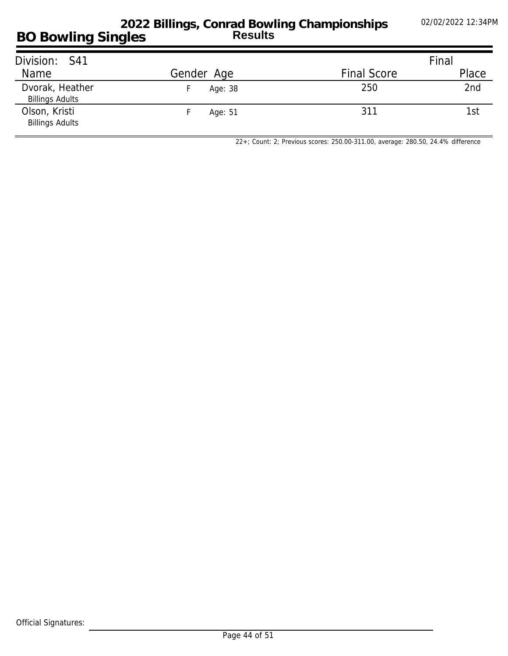## **BO Bowling Singles 2022 Billings, Conrad Bowling Championships Results**

| Division: S41                             |            |                    | Final |
|-------------------------------------------|------------|--------------------|-------|
| Name                                      | Gender Age | <b>Final Score</b> | Place |
| Dvorak, Heather<br><b>Billings Adults</b> | Age: 38    | 250                | 2nd   |
| Olson, Kristi<br><b>Billings Adults</b>   | Age: 51    | 311                | 1st   |

*22+; Count: 2; Previous scores: 250.00-311.00, average: 280.50, 24.4% difference*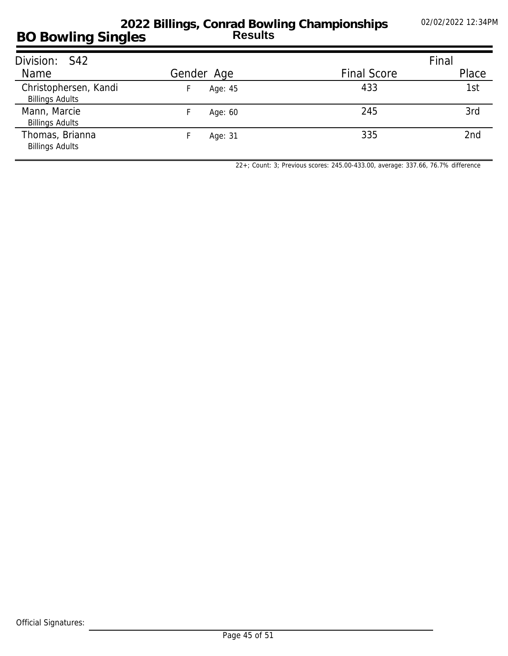| Division: S42                                   |            |                    | Final |
|-------------------------------------------------|------------|--------------------|-------|
| Name                                            | Gender Age | <b>Final Score</b> | Place |
| Christophersen, Kandi<br><b>Billings Adults</b> | Age: 45    | 433                | 1st   |
| Mann, Marcie<br><b>Billings Adults</b>          | Age: 60    | 245                | 3rd   |
| Thomas, Brianna<br><b>Billings Adults</b>       | Age: 31    | 335                | 2nd   |

*22+; Count: 3; Previous scores: 245.00-433.00, average: 337.66, 76.7% difference*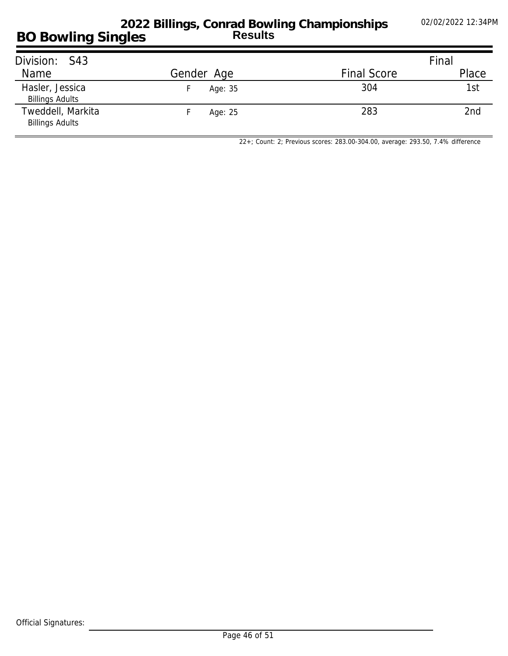#### **BO Bowling Singles 2022 Billings, Conrad Bowling Championships Results**

| Division: S43                               |            |                    | Final           |
|---------------------------------------------|------------|--------------------|-----------------|
| Name                                        | Gender Age | <b>Final Score</b> | Place           |
| Hasler, Jessica<br><b>Billings Adults</b>   | Age: 35    | 304                | 1st             |
| Tweddell, Markita<br><b>Billings Adults</b> | Age: 25    | 283                | 2 <sub>nd</sub> |

*22+; Count: 2; Previous scores: 283.00-304.00, average: 293.50, 7.4% difference*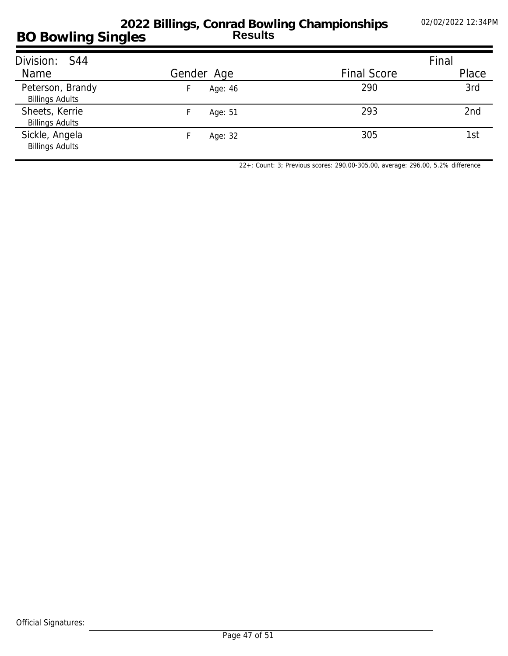| Division: S44                              |               |                    | Final |
|--------------------------------------------|---------------|--------------------|-------|
| Name                                       | Gender Age    | <b>Final Score</b> | Place |
| Peterson, Brandy<br><b>Billings Adults</b> | Age: 46<br>H. | 290                | 3rd   |
| Sheets, Kerrie<br><b>Billings Adults</b>   | Age: 51       | 293                | 2nd   |
| Sickle, Angela<br><b>Billings Adults</b>   | Age: 32       | 305                | 1st   |

*22+; Count: 3; Previous scores: 290.00-305.00, average: 296.00, 5.2% difference*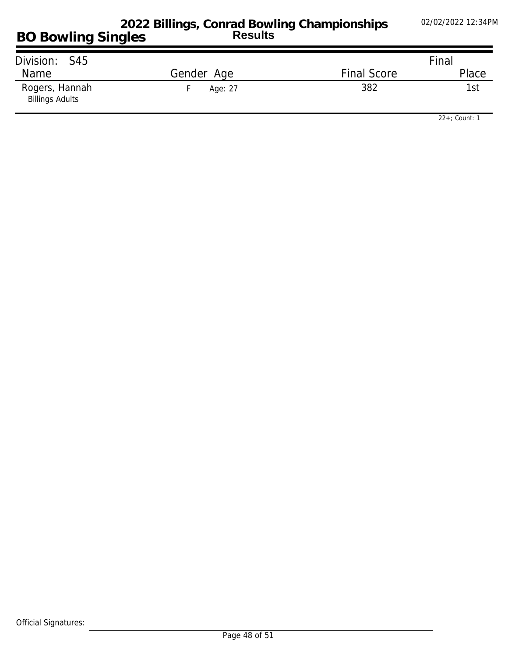| Division: S45                            |            |                    | Final |
|------------------------------------------|------------|--------------------|-------|
| Name                                     | Gender Age | <b>Final Score</b> | Place |
| Rogers, Hannah<br><b>Billings Adults</b> | Age: 27    | 382                | 1st   |

*22+; Count: 1*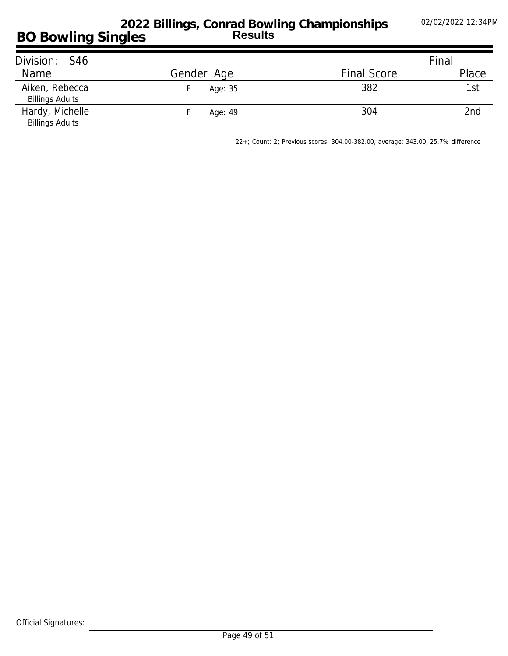### **BO Bowling Singles 2022 Billings, Conrad Bowling Championships Results**

| Division: S46                             |            | Final              |       |
|-------------------------------------------|------------|--------------------|-------|
| Name                                      | Gender Age | <b>Final Score</b> | Place |
| Aiken, Rebecca<br><b>Billings Adults</b>  | Age: 35    | 382                | 1st   |
| Hardy, Michelle<br><b>Billings Adults</b> | Age: 49    | 304                | 2nd   |

*22+; Count: 2; Previous scores: 304.00-382.00, average: 343.00, 25.7% difference*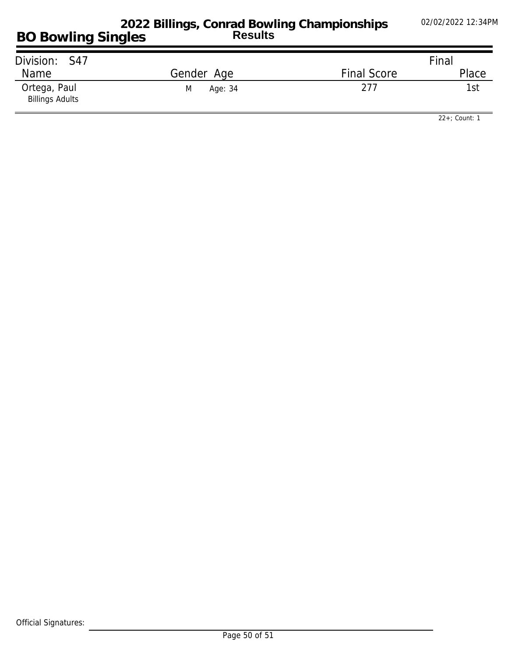| Division: S47                          |              | Final              |       |
|----------------------------------------|--------------|--------------------|-------|
| Name                                   | Gender Age   | <b>Final Score</b> | Place |
| Ortega, Paul<br><b>Billings Adults</b> | Age: 34<br>M | 277                | 1st   |

*22+; Count: 1*